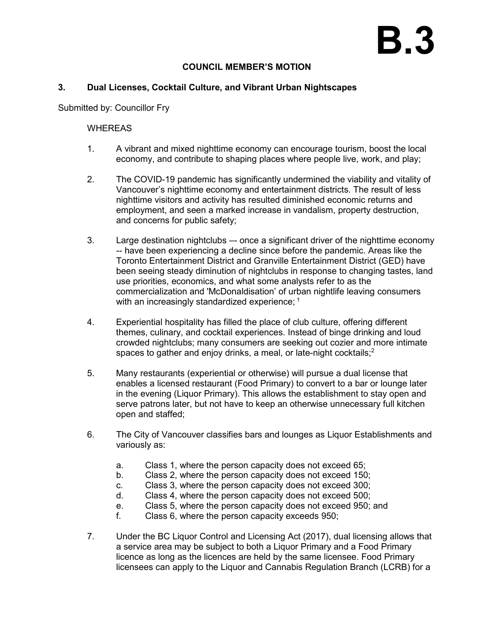## **COUNCIL MEMBER'S MOTION**

## **3. Dual Licenses, Cocktail Culture, and Vibrant Urban Nightscapes**

Submitted by: Councillor Fry

## **WHEREAS**

- 1. A vibrant and mixed nighttime economy can encourage tourism, boost the local economy, and contribute to shaping places where people live, work, and play;
- 2. The COVID-19 pandemic has significantly undermined the viability and vitality of Vancouver's nighttime economy and entertainment districts. The result of less nighttime visitors and activity has resulted diminished economic returns and employment, and seen a marked increase in vandalism, property destruction, and concerns for public safety;
- 3. Large destination nightclubs –- once a significant driver of the nighttime economy -- have been experiencing a decline since before the pandemic. Areas like the Toronto Entertainment District and Granville Entertainment District (GED) have been seeing steady diminution of nightclubs in response to changing tastes, land use priorities, economics, and what some analysts refer to as the commercialization and 'McDonaldisation' of urban nightlife leaving consumers with an increasingly standardized experience; <sup>1</sup>
- 4. Experiential hospitality has filled the place of club culture, offering different themes, culinary, and cocktail experiences. Instead of binge drinking and loud crowded nightclubs; many consumers are seeking out cozier and more intimate spaces to gather and enjoy drinks, a meal, or late-night cocktails;<sup>2</sup>
- 5. Many restaurants (experiential or otherwise) will pursue a dual license that enables a licensed restaurant (Food Primary) to convert to a bar or lounge later in the evening (Liquor Primary). This allows the establishment to stay open and serve patrons later, but not have to keep an otherwise unnecessary full kitchen open and staffed;
- 6. The City of Vancouver classifies bars and lounges as Liquor Establishments and variously as:
	- a. Class 1, where the person capacity does not exceed 65;
	- b. Class 2, where the person capacity does not exceed 150;
	- c. Class 3, where the person capacity does not exceed 300;
	- d. Class 4, where the person capacity does not exceed 500;
	- e. Class 5, where the person capacity does not exceed 950; and
	- f. Class 6, where the person capacity exceeds 950;
- 7. Under the BC Liquor Control and Licensing Act (2017), dual licensing allows that a service area may be subject to both a Liquor Primary and a Food Primary licence as long as the licences are held by the same licensee. Food Primary licensees can apply to the Liquor and Cannabis Regulation Branch (LCRB) for a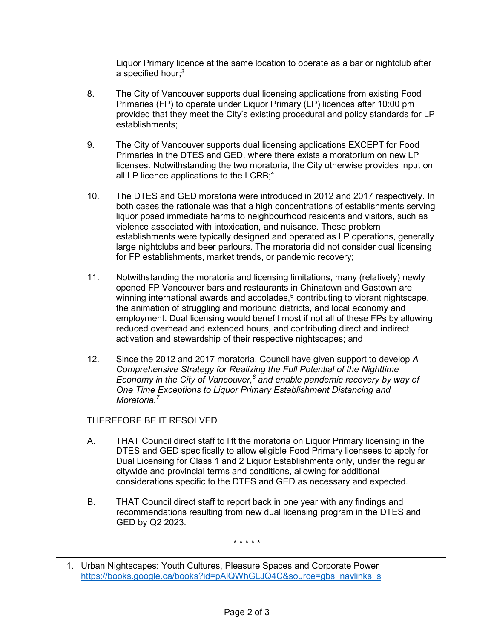Liquor Primary licence at the same location to operate as a bar or nightclub after a specified hour; $^3$ 

- 8. The City of Vancouver supports dual licensing applications from existing Food Primaries (FP) to operate under Liquor Primary (LP) licences after 10:00 pm provided that they meet the City's existing procedural and policy standards for LP establishments;
- 9. The City of Vancouver supports dual licensing applications EXCEPT for Food Primaries in the DTES and GED, where there exists a moratorium on new LP licenses. Notwithstanding the two moratoria, the City otherwise provides input on all LP licence applications to the LCRB; 4
- 10. The DTES and GED moratoria were introduced in 2012 and 2017 respectively. In both cases the rationale was that a high concentrations of establishments serving liquor posed immediate harms to neighbourhood residents and visitors, such as violence associated with intoxication, and nuisance. These problem establishments were typically designed and operated as LP operations, generally large nightclubs and beer parlours. The moratoria did not consider dual licensing for FP establishments, market trends, or pandemic recovery;
- 11. Notwithstanding the moratoria and licensing limitations, many (relatively) newly opened FP Vancouver bars and restaurants in Chinatown and Gastown are winning international awards and accolades,<sup>5</sup> contributing to vibrant nightscape, the animation of struggling and moribund districts, and local economy and employment. Dual licensing would benefit most if not all of these FPs by allowing reduced overhead and extended hours, and contributing direct and indirect activation and stewardship of their respective nightscapes; and
- 12. Since the 2012 and 2017 moratoria, Council have given support to develop *A Comprehensive Strategy for Realizing the Full Potential of the Nighttime Economy in the City of Vancouver,<sup>6</sup> and enable pandemic recovery by way of One Time Exceptions to Liquor Primary Establishment Distancing and Moratoria.<sup>7</sup>*

THEREFORE BE IT RESOLVED

- A. THAT Council direct staff to lift the moratoria on Liquor Primary licensing in the DTES and GED specifically to allow eligible Food Primary licensees to apply for Dual Licensing for Class 1 and 2 Liquor Establishments only, under the regular citywide and provincial terms and conditions, allowing for additional considerations specific to the DTES and GED as necessary and expected.
- B. THAT Council direct staff to report back in one year with any findings and recommendations resulting from new dual licensing program in the DTES and GED by Q2 2023.

\* \* \* \* \*

<sup>1.</sup> Urban Nightscapes: Youth Cultures, Pleasure Spaces and Corporate Power [https://books.google.ca/books?id=pAlQWhGLJQ4C&source=gbs\\_navlinks\\_s](https://books.google.ca/books?id=pAlQWhGLJQ4C&source=gbs_navlinks_s)